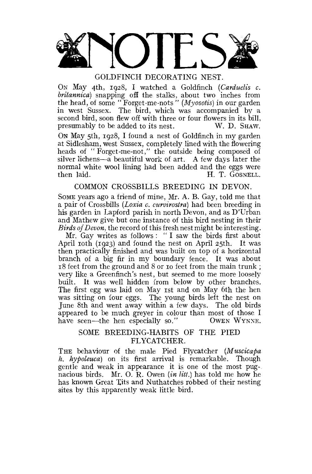

ON May 4th, 1928, I watched a Goldfinch *(Carduelis c. britannica)* snapping off the stalks, about two inches from the head, of some " Forget-me-nots " *(Myosotis)* in our garden in west Sussex. The bird, which was accompanied by a second bird, soon flew off with three or four flowers in its bill, presumably to be added to its nest. W. D. SHAW.

ON May 5th, 1928, I found a nest of Goldfinch in my garden at Sidlesham, west Sussex, completely lined with the flowering heads of " Forget-me-not," the outside being composed of silver lichens—a beautiful work of art. A few days later the normal white wool lining had been added and the eggs were then laid. H. T. GOSNELL.

# COMMON CROSSBILLS BREEDING IN DEVON.

SOME years ago a friend of mine, Mr. A. B. Gay, told me that a pair of Crossbills *(Loxia c. curuirostra)* had been breeding in his garden in Lapford parish in north Devon, and as D'Urban and Mathew give but one instance of this bird nesting in their *Birds of Devon,* the record of this fresh nest might be interesting.

Mr. Gay writes as follows : " I saw the birds first about April 10th (1923) and found the nest on April 25th. It was then practically finished and was built on top of a horizontal branch of a big fir in my boundary fence. It was about 18 feet from the ground and 8 or 10 feet from the main trunk ; very like a Greenfinch's nest, but seemed to me more loosely built. It was well hidden from below by other branches. The first egg was laid on May 1st and on May 6th the hen was sitting on four eggs. The young birds left the nest on June 8th and went away within a few days. The old birds appeared to be much greyer in colour than most of those I have seen—the hen especially so." OWEN WYNNE.

# SOME BREEDING-HABITS OF THE PIED FLYCATCHER.

THE behaviour of the male Pied Flycatcher (Muscicapa *h. hypoleuca)* on its first arrival is remarkable. Though gentle and weak in appearance it is one of the most pugnacious birds. Mr. O. R. Owen *(in Hit.)* has told me how he has known Great Tits and Nuthatches robbed of their nesting sites by this apparently weak little bird.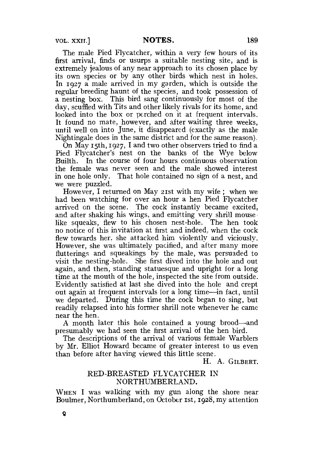**VOL. XXII.] NOTES.** 189

The male Pied Flycatcher, within a very few hours of its first arrival, finds or usurps a suitable nesting site, and is extremely jealous of any near approach to its chosen place by its own species or by any other birds which nest in holes. In 1927 a male arrived in my garden, which is outside the regular breeding haunt of the species, and took possession of a nesting box. This bird sang continuously for most of the day, scuffled with Tits and other likely rivals for its home, and looked into the box or perched on it at frequent intervals. It found no mate, however, and after waiting three weeks, until well on into June, it disappeared (exactly as the male Nightingale does in the same district and for the same reason).

On May 15th,  $1927$ , I and two other observers tried to find a Pied Flycatcher's nest on the banks of the Wye below Builth. In the course of four hours continuous observation the female was never seen and the male showed interest in one hole only. That hole contained no sign of a nest, and we were puzzled.

However, I returned on May 21st with my wife ; when we had been watching for over an hour a hen Pied Flycatcher arrived on the scene. The cock instantly became excited, and after shaking his wings, and emitting very shrill mouse like squeaks, flew to his chosen nest-hole. The hen took no notice of this invitation at first and indeed, when the cock flew towards her, she attacked him violently and viciously. However, she was ultimately pacified, and after many more fiutterings and squeakings by the male, was persuaded to visit the nesting-hole. She first dived into the hole and out again, and then, standing statuesque and upright for a long time at the mouth of the hole, inspected the site from outside. Evidently satisfied at last she dived into the hole and crept out again at frequent intervals for a long time—in fact, until we departed. During this time the cock began to sing, but readily relapsed into his former shrill note whenever he came near the hen.

A month later this hole contained a young brood—and presumably we had seen the first arrival of the hen bird.

The descriptions of the arrival of various female Warblers by Mr. Elliot Howard became of greater interest to us even than before after having viewed this little scene.

H. A. GILBERT.

### RED-BREASTED FLYCATCHER IN NORTHUMBERLAND.

WHEN I was walking with my gun along the shore near Boulmer, Northumberland, on October 1st, 1928, my attention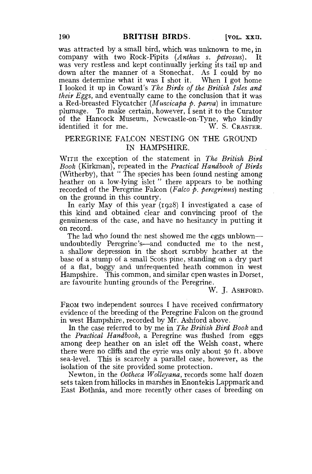was attracted by a small bird, which was unknown to me, in company with two Rock-Pipits *(Anthus s. petrosus).* It was very restless and kept continually jerking its tail up and down after the manner of a Stonechat. As I could by no means determine what it was I shot it. When I got home I looked it up in Coward's *The Birds of the British Isles and their Eggs,* and eventually came to the conclusion that it was a Red-breasted Flycatcher *(Muscicapa p. parva)* in immature plumage. To make certain, however, I sent it to the Curator of the Hancock Museum, Newcastle-on-Tyne, who kindly identified it for me. identified it for me.

## PEREGRINE FALCON NESTING ON THE GROUND IN HAMPSHIRE.

WITH the exception of the statement in *The British Bird Book* (Kirkman), repeated in the *Practical Handbook of Birds*  (Witherby), that " The species has been found nesting among heather on a low-lying islet " there appears to be nothing recorded of the Peregrine Falcon *(Falco p. peregrinus)* nesting on the ground in this country.

In early May of this year {1928) I investigated a case of this kind and obtained clear and convincing proof of the genuineness of the case, and have no hesitancy in putting it on record.

The lad who found the nest showed me the eggs unblown undoubtedly Peregrine's—and conducted me to the nest, a shallow depression in the short scrubby heather at the base of a stump of a small Scots pine, standing on a dry part of a flat, boggy and unfrequented heath common in west Hampshire. This common, and similar open wastes in Dorset, are favourite hunting grounds of the Peregrine.

W. J. ASHFORD.

FROM two independent sources I have received confirmatory evidence of the breeding of the Peregrine Falcon on the ground in west Hampshire, recorded by Mr. Ashford above.

In the case referred to by me in *The British Bird Book* and the *Practical Handbook,* a Peregrine was flushed from eggs among deep heather on an islet off the Welsh coast, where there were no cliffs and the eyrie was only about 50 ft. above sea-level. This is scarcely a parallel case, however, as the isolation of the site provided some protection.

Newton, in the *Ooiheca Wolleyana,* records some half dozen sets taken from hillocks in marshes in Enontekis Lappmark and East Bothnia, and more recently other cases of breeding on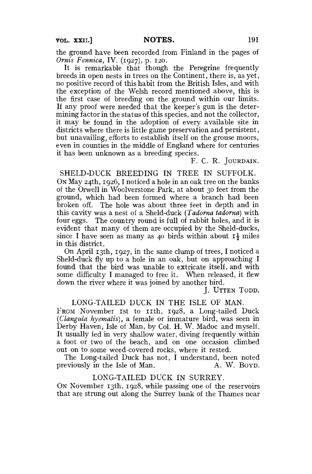the ground have been recorded from Finland in the pages of *Ornis Fennica,* IV. (1927), p. 120.

It is remarkable that though the Peregrine frequently breeds in open nests in trees on the Continent, there is, as yet, no positive record of this habit from the British Isles, and with the exception of the Welsh record mentioned above, this is the first case of breeding on the ground within our limits. If any proof were needed that the keeper's gun is the determining factor in the status of this species, and not the collector, it may be found in the adoption of every available site in districts where there is little game preservation and persistent, but unavailing, efforts to establish itself on the grouse moors, even in counties in the middle of England where for centuries it has been unknown as a breeding species.

#### F. C. R. JOURDAIN.

SHELD-DUCK BREEDING IN TREE IN SUFFOLK. ON May 24th, 1926, I noticed a hole in an oak tree on the banks of the Orwell in Woolverstone Park, at about 30 feet from the ground, which had been formed where a branch had been broken off. The hole was about three feet in depth and in this cavity was a nest of a Sheld-duck *(Tadorna tadorna)* with four eggs. The country round is full of rabbit holes, and it is evident that many of them are occupied by the Sheld-ducks, since I have seen as many as 40 birds within about  $I_3^1$  miles in this district.

On April 13th, 1927, in the same clump of trees, I noticed a Sheld-duck fly up to a hole in an oak, but on approaching I found that the bird was unable to extricate itself, and with some difficulty I managed to free it. When released, it flew down the river where it was joined by another bird.

J. UTTEN TODD.

### LONG-TAILED DUCK IN THE ISLE OF MAN.

From November 1st to 11th, 1928, a Long-tailed Duck *(Clangula hyemalis),* a female or immature bird, was seen in Derby Haven, Isle of Man, by Col. H. W. Madoc and myself. It usually fed in very shallow water, diving frequently within a foot or two of the beach, and on one occasion climbed out on to some weed-covered rocks, where it rested.

The Long-tailed Duck has not, I understand, been noted previously in the Isle of Man.

### LONG-TAILED DUCK IN SURREY.

ON November 13th, 1928, while passing one of the reservoirs that are strung out along the Surrey bank of the Thames near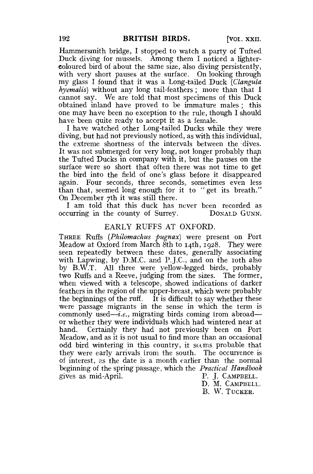Hammersmith bridge, I stopped to watch a party of Tufted Duck diving for mussels. Among them I noticed a lightercoloured bird of about the same size, also diving persistently, with very short pauses at the surface. On looking through my glass I found that it was a Long-tailed Duck *(Clangula hyemalis)* without any long tail-feathers; more than that I cannot say. We are told that most specimens of this Duck obtained inland have proved to be immature males ; this one may have been no exception to the rule, though I should have been quite ready to accept it as a female.

I have watched other Long-tailed Ducks while they were diving, but had not previously noticed, as with this individual, the extreme shortness of the intervals between the dives. It was not submerged for very long, not longer probably than the Tufted Ducks in company with it, but the pauses on the surface were so short that often there was not time to get the bird into the field of one's glass before it disappeared again. Four seconds, three seconds, sometimes even less than that, seemed long enough for it to " get its breath." On December 7th it was still there.

I am told that this duck has never been recorded as curring in the county of Surrey. Donal D GUNN. occurring in the county of Surrey.

#### EARLY RUFFS AT OXFORD.

THREE Ruffs *{Philomachus pugnax)* were present on Port Meadow at Oxford from March 8th to 14th, 1928. They were seen repeatedly between these dates, generally associating with Lapwing, by D.M.C. and P.J.C., and on the roth also by B.W.T. All three were yellow-legged birds, probably two Ruffs and a Reeve, judging from the sizes. The former, when viewed with a telescope, showed indications of darker feathers in the region of the upper-breast, which were probably the beginnings of the ruff. It is difficult to say whether these were passage migrants in the sense in which the term is commonly used—*i.e.*, migrating birds coming from abroad or whether they were individuals which had wintered near at hand. Certainly they had not previously been on Port Meadow, and as it is not usual to find more than an occasional odd bird wintering in this country, it seems probable that they were early arrivals irom the south. The occurrence is of interest, as the date is a month earlier than the normal beginning of the spring passage, which the *Practical Handbook*  gives as mid-April. P. J. CAMPBELL.

D. M. CAMPBELL. B. W. TUCKER.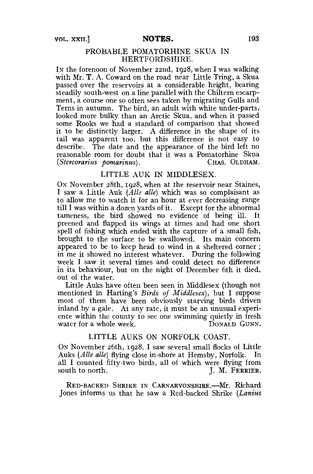## PROBABLE POMATORHINE SKUA IN HERTFORDSHIRE.

IN the forenoon of November 22nd, 1928, when I was walking with Mr. T. A. Coward on the road near Little Tring, a Skua passed over the reservoirs at a considerable height, bearing steadily south-west on a line parallel with the Chiltern escarpment, a course one so often sees taken by migrating Gulls and Terns in autumn. The bird, an adult with white under-parts, looked more bulky than an Arctic Skua, and when it passed some Rooks we had a standard of comparison that showed it to be distinctly larger. A difference in the shape of its tail was apparent too, but this difference is not easy to describe. The date and the appearance of the bird left no reasonable room for doubt that it was a Pomatorhine Skua *(Stercorarius bomarinus).* CHAS. OLDHAM.

## LITTLE AUK IN MIDDLESEX.

ON November 28th, 1928, when at the reservoir near Staines, I saw a Little Auk *(A lie alle)* which was so complaisant as to allow me to watch it for an hour at ever decreasing range till I was within a dozen yards of it. Except for the abnormal tameness, the bird showed no evidence of being ill. It preened and flapped its wings at times and had one short spell of fishing which ended with the capture of a small fish, brought to the surface to be swallowed. Its main concern appeared to be to keep head to wind in a sheltered corner ; in me it showed no interest whatever. During the following week I saw it several times and could detect no difference in its behaviour, but on the night of December 6th it died, out of the water.

Little Auks have often been seen in Middlesex (though not mentioned in Harting's *Birds of Middlesex),* but I suppose most of them have been obviously starving birds driven inland by a gale. At any rate, it must be an unusual experience within the county to see one swimming quietly in fresh water for a whole week. DONALD GUNN.

## LITTLE AUKS ON NORFOLK COAST.

ON November 26th, 1928. I saw several small flocks of Little Auks *(Alle alle)* flying close in-shore at Hemsby, Norfolk. In all I counted fifty-two birds, all of which were flying from south to north.<br> $I. M. FERRIER$ J. M. FERRIER.

RED-BACKED SHRIKE IN CARNARVONSHIRE.—Mr. Richard Jones informs us that he saw a Red-backed Shrike *(Lanius*